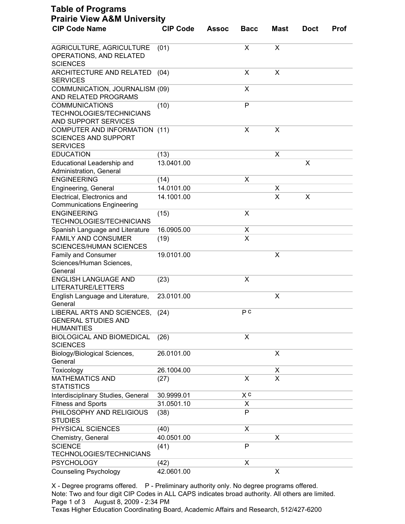| <b>CIP Code Name</b>                                                             | <b>CIP Code</b> | <b>Assoc</b> | <b>Bacc</b>  | <b>Mast</b> | <b>Doct</b> | <b>Prof</b> |
|----------------------------------------------------------------------------------|-----------------|--------------|--------------|-------------|-------------|-------------|
|                                                                                  |                 |              |              |             |             |             |
| AGRICULTURE, AGRICULTURE<br>OPERATIONS, AND RELATED<br><b>SCIENCES</b>           | (01)            |              | X            | X           |             |             |
| ARCHITECTURE AND RELATED<br><b>SERVICES</b>                                      | (04)            |              | X            | X           |             |             |
| COMMUNICATION, JOURNALISM (09)<br>AND RELATED PROGRAMS                           |                 |              | X            |             |             |             |
| <b>COMMUNICATIONS</b><br><b>TECHNOLOGIES/TECHNICIANS</b><br>AND SUPPORT SERVICES | (10)            |              | $\mathsf{P}$ |             |             |             |
| COMPUTER AND INFORMATION (11)<br><b>SCIENCES AND SUPPORT</b><br><b>SERVICES</b>  |                 |              | X            | X           |             |             |
| <b>EDUCATION</b>                                                                 | (13)            |              |              | х           |             |             |
| Educational Leadership and<br>Administration, General                            | 13.0401.00      |              |              |             | X           |             |
| <b>ENGINEERING</b>                                                               | (14)            |              | X            |             |             |             |
| Engineering, General                                                             | 14.0101.00      |              |              | х           |             |             |
| Electrical, Electronics and<br><b>Communications Engineering</b>                 | 14.1001.00      |              |              | X           | X           |             |
| <b>ENGINEERING</b><br><b>TECHNOLOGIES/TECHNICIANS</b>                            | (15)            |              | X            |             |             |             |
| Spanish Language and Literature                                                  | 16.0905.00      |              | X            |             |             |             |
| <b>FAMILY AND CONSUMER</b><br><b>SCIENCES/HUMAN SCIENCES</b>                     | (19)            |              | X            |             |             |             |
| <b>Family and Consumer</b><br>Sciences/Human Sciences,<br>General                | 19.0101.00      |              |              | X           |             |             |
| <b>ENGLISH LANGUAGE AND</b><br>LITERATURE/LETTERS                                | (23)            |              | X            |             |             |             |
| English Language and Literature,<br>General                                      | 23.0101.00      |              |              | Χ           |             |             |
| LIBERAL ARTS AND SCIENCES,<br><b>GENERAL STUDIES AND</b><br><b>HUMANITIES</b>    | (24)            |              | PC           |             |             |             |
| <b>BIOLOGICAL AND BIOMEDICAL</b><br><b>SCIENCES</b>                              | (26)            |              | X            |             |             |             |
| Biology/Biological Sciences,<br>General                                          | 26.0101.00      |              |              | X           |             |             |
| Toxicology                                                                       | 26.1004.00      |              |              | X           |             |             |
| <b>MATHEMATICS AND</b><br><b>STATISTICS</b>                                      | (27)            |              | X            | X           |             |             |
| Interdisciplinary Studies, General                                               | 30.9999.01      |              | X c          |             |             |             |
| <b>Fitness and Sports</b>                                                        | 31.0501.10      |              | X            |             |             |             |
| PHILOSOPHY AND RELIGIOUS<br><b>STUDIES</b>                                       | (38)            |              | P            |             |             |             |
| PHYSICAL SCIENCES                                                                | (40)            |              | X            |             |             |             |
| Chemistry, General                                                               | 40.0501.00      |              |              | Χ           |             |             |
| <b>SCIENCE</b><br><b>TECHNOLOGIES/TECHNICIANS</b>                                | (41)            |              | P            |             |             |             |
| <b>PSYCHOLOGY</b>                                                                | (42)            |              | X            |             |             |             |
| <b>Counseling Psychology</b>                                                     | 42.0601.00      |              |              | X           |             |             |

X - Degree programs offered. P - Preliminary authority only. No degree programs offered. Note: Two and four digit CIP Codes in ALL CAPS indicates broad authority. All others are limited. Page 1 of 3 August 8, 2009 - 2:34 PM

Texas Higher Education Coordinating Board, Academic Affairs and Research, 512/427-6200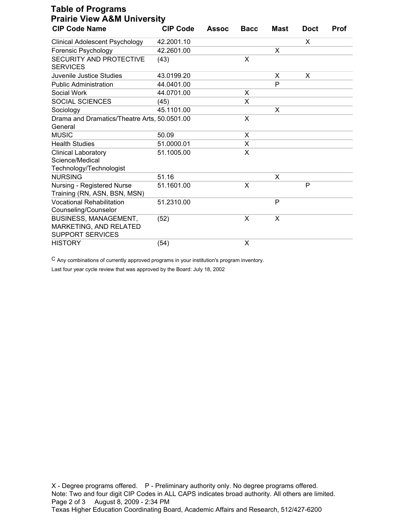| <b>Table of Programs</b><br><b>Prairie View A&amp;M University</b>                |                 |              |             |      |             |             |  |  |
|-----------------------------------------------------------------------------------|-----------------|--------------|-------------|------|-------------|-------------|--|--|
| <b>CIP Code Name</b>                                                              | <b>CIP Code</b> | <b>Assoc</b> | <b>Bacc</b> | Mast | <b>Doct</b> | <b>Prof</b> |  |  |
| <b>Clinical Adolescent Psychology</b>                                             | 42.2001.10      |              |             |      | X           |             |  |  |
| Forensic Psychology                                                               | 42.2601.00      |              |             | X    |             |             |  |  |
| SECURITY AND PROTECTIVE<br><b>SERVICES</b>                                        | (43)            |              | X           |      |             |             |  |  |
| Juvenile Justice Studies                                                          | 43.0199.20      |              |             | X    | X           |             |  |  |
| <b>Public Administration</b>                                                      | 44.0401.00      |              |             | P    |             |             |  |  |
| Social Work                                                                       | 44.0701.00      |              | X           |      |             |             |  |  |
| SOCIAL SCIENCES                                                                   | (45)            |              | X           |      |             |             |  |  |
| Sociology                                                                         | 45.1101.00      |              |             | X    |             |             |  |  |
| Drama and Dramatics/Theatre Arts, 50.0501.00<br>General                           |                 |              | X           |      |             |             |  |  |
| <b>MUSIC</b>                                                                      | 50.09           |              | X           |      |             |             |  |  |
| <b>Health Studies</b>                                                             | 51.0000.01      |              | X           |      |             |             |  |  |
| <b>Clinical Laboratory</b><br>Science/Medical<br>Technology/Technologist          | 51.1005.00      |              | X           |      |             |             |  |  |
| <b>NURSING</b>                                                                    | 51.16           |              |             | X    |             |             |  |  |
| Nursing - Registered Nurse<br>Training (RN, ASN, BSN, MSN)                        | 51.1601.00      |              | X           |      | P           |             |  |  |
| <b>Vocational Rehabilitation</b><br>Counseling/Counselor                          | 51.2310.00      |              |             | P    |             |             |  |  |
| <b>BUSINESS, MANAGEMENT,</b><br>MARKETING, AND RELATED<br><b>SUPPORT SERVICES</b> | (52)            |              | X           | X    |             |             |  |  |
| <b>HISTORY</b>                                                                    | (54)            |              | X           |      |             |             |  |  |

C Any combinations of currently approved programs in your institution's program inventory.

Last four year cycle review that was approved by the Board: July 18, 2002

X - Degree programs offered. P - Preliminary authority only. No degree programs offered. Note: Two and four digit CIP Codes in ALL CAPS indicates broad authority. All others are limited. Page 2 of 3 August 8, 2009 - 2:34 PM Texas Higher Education Coordinating Board, Academic Affairs and Research, 512/427-6200